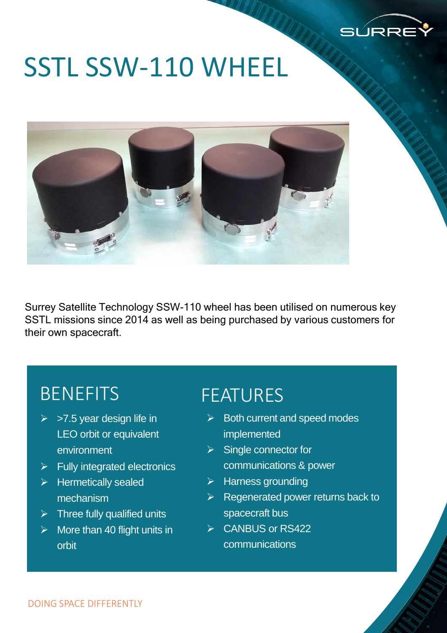

# SSTL SSW-110 WHEEL



Surrey Satellite Technology SSW-110 wheel has been utilised on numerous key SSTL missions since 2014 as well as being purchased by various customers for their own spacecraft.

### BENEFITS

- $\triangleright$  >7.5 year design life in LEO orbit or equivalent environment
- $\triangleright$  Fully integrated electronics
- $\triangleright$  Hermetically sealed mechanism
- $\triangleright$  Three fully qualified units
- $\triangleright$  More than 40 flight units in orbit

#### FEATURES

- $\triangleright$  Both current and speed modes implemented
- $\triangleright$  Single connector for communications & power
- $\triangleright$  Harness grounding
- $\triangleright$  Regenerated power returns back to spacecraft bus
- **► CANBUS or RS422** communications